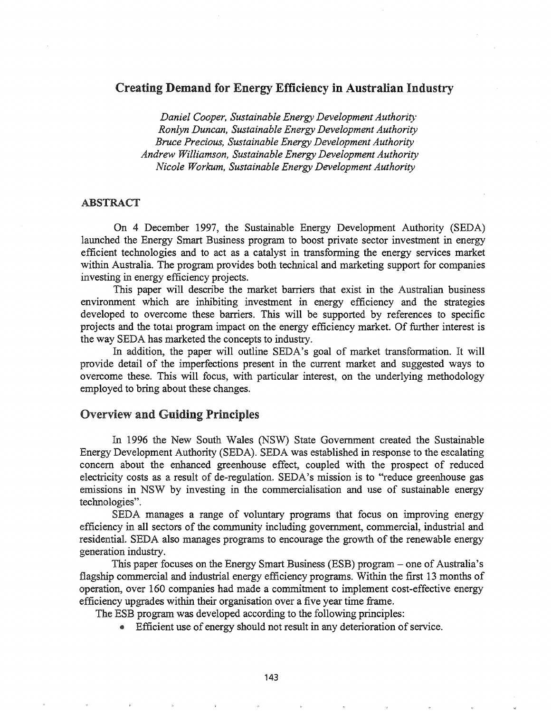# Creating Demand for Energy Efficiency in Australian Industry

*Daniel Cooper, Sustainable Energy Development Authority' Ronlyn Duncan, Sustainable Energy Development Authority Bruce Precious, Sustainable Energy Development Authority Andrew Williamson, Sustainable Energy Development Authority Nicole Workum, Sustainable Energy Development Authority*

#### ABSTRACT

On 4 December 1997, the Sustainable Energy Development Authority (SEDA) launched the Energy Smart Business program to boost private sector investment in energy efficient technologies and to act as a catalyst in transfonning the energy services market within Australia. The program provides both technical and marketing support for companies investing in energy efficiency projects.

This paper will describe the market barriers that exist in the Australian business environment which are inhibiting investment in energy efficiency and the strategies developed to overcome these barriers. This will be supported by references to specific projects and the total program impact on the energy efficiency market. Of further interest is the way SEDA has marketed the concepts to industry.

In addition, the paper will outline SEDA's goal of market transformation. It will provide detail of the imperfections present in the current market and suggested ways to overcome these. This will focus, with particular interest, on the underlying methodology employed to bring about these changes.

#### Overview and Guiding Principles

In 1996 the New South Wales (NSW) State Government created the Sustainable Energy Development Authority (SEDA). SEDA was established in response to the escalating concern about the enhanced greenhouse effect, coupled with the prospect of reduced electricity costs as a result of de-regulation. SEDA's mission is to "reduce greenhouse gas emissions in NSW by investing in the commercialisation and use of sustainable energy technologies"

SEDA manages a range of voluntary programs that focus on improving energy efficiency in all sectors of the community including government, commercial, industrial and residential. SEDA also manages programs to encourage the growth of the renewable energy generation industry.

This paper focuses on the Energy Smart Business (ESB) program – one of Australia's flagship commercial and industrial energy efficiency programs. Within the first 13 months of operation, over 160 companies had made a commitment to implement cost-effective energy efficiency upgrades within their organisation over a five year time frame.

The ESB program was developed according to the following principles:

Efficient use of energy should not result in any deterioration of service.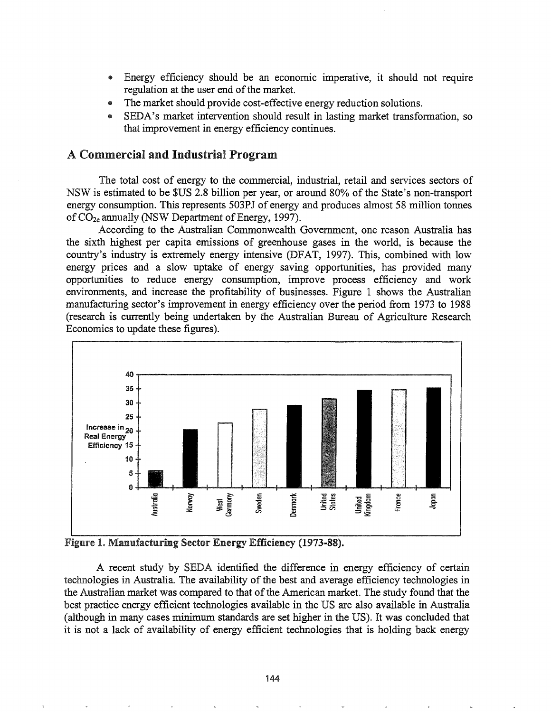- .. Energy efficiency should be an economic imperative, it should not require regulation at the user end of the market.
- The market should provide cost-effective energy reduction solutions.
- SEDA's market intervention should result in lasting market transformation, so that improvement in energy efficiency continues.

# A Commercial and Industrial Program

The total cost of energy to the commercial, industrial, retail and services sectors of NSW is estimated to be \$US 2.8 billion per year, or around 80% of the State's non-transport energy consumption. This represents 503PJ of energy and produces almost 58 million tonnes of  $CO_{2e}$  annually (NSW Department of Energy, 1997).

According to the Australian Commonwealth Government, one reason Australia has the sixth highest per capita emissions of greenhouse gases in the world, is because the country's industry is extremely energy intensive (DFAT, 1997). This, combined with low energy prices and a slow uptake of energy saving opportunities, has provided many opportunities to reduce energy consumption, improve process efficiency and work environments, and increase the profitability of businesses. Figure 1 shows the Australian manufacturing sector's improvement in energy efficiency over the period from 1973 to 1988 (research is currently being undertaken by the Australian Bureau of Agriculture Research Economics to update these figures).



Figure 1. Manufacturing Sector Energy Efficiency (1973-88).

A recent study by SEDA identified the difference in energy efficiency of certain technologies in Australia. The availability of the best and average efficiency technologies in the Australian market was compared to that of the American market. The study found that the best practice energy efficient technologies available in the US are also available in Australia (although in many cases minimum standards are set higher in the US). It was concluded that it is not a lack of availability of energy efficient technologies that is holding back energy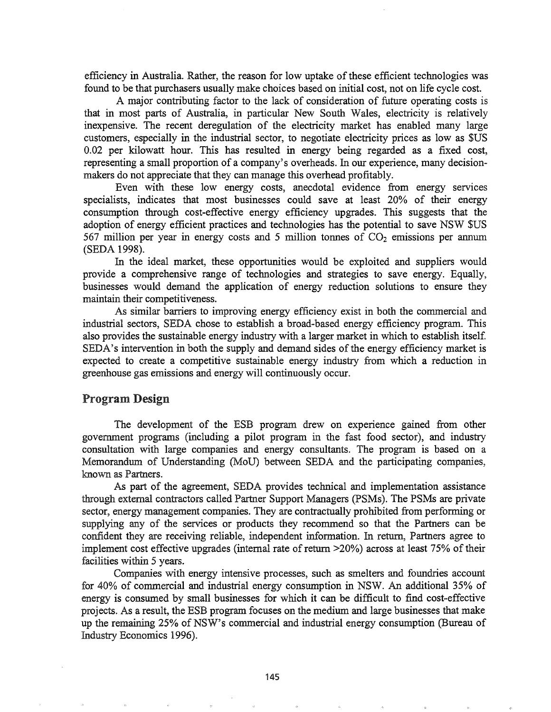efficiency in Australia. Rather, the reason for low uptake of these efficient technologies was found to be that purchasers usually make choices based on initial cost, not on life cycle cost.

A major contributing factor to the lack of consideration of future operating costs is that in most parts of Australia, in particular New South Wales, electricity is relatively inexpensive. The recent deregulation of the electricity market has enabled many large customers, especially in the industrial sector, to negotiate electricity prices as low as \$US 0.02 per kilowatt hour. This has resulted in energy being regarded as a fixed cost, representing a small proportion of a company's overheads. In our experience, many decisionmakers do not appreciate that they can manage this overhead profitably.

Even with these low energy costs, anecdotal evidence from energy services specialists, indicates that most businesses could save at least 20% of their energy consumption through cost-effective energy efficiency upgrades. This suggests that the adoption of energy efficient practices and technologies has the potential to save NSW \$US 567 million per year in energy costs and 5 million tonnes of  $CO<sub>2</sub>$  emissions per annum (SEDA 1998).

In the ideal market, these opportunities would be exploited and suppliers would provide a comprehensive range of technologies and strategies to save energy. Equally, businesses would demand the application of energy reduction solutions to ensure they maintain their competitiveness.

As similar barriers to improving energy efficiency exist in both the commercial and industrial sectors, SEDA chose to establish a broad-based energy efficiency program. This also provides the sustainable energy industry with a larger market in which to establish itself. SEDA's intervention in both the supply and demand sides of the energy efficiency market is expected to create a competitive sustainable energy industry from which a reduction in greenhouse gas emissions and energy will continuously occur.

### Program Design

The development of the ESB program drew on experience gained from other government programs (including a pilot program in the fast food sector), and industry consultation with large companies and energy consultants. The program is based on a Memorandum of Understanding (MoV) between SEDA and the participating companies, known as Partners.

As part of the agreement, SEDA provides technical and implementation assistance through external contractors called Partner Support Managers (PSMs). The PSMs are private sector, energy management companies. They are contractually prohibited from performing or supplying any of the services or products they recommend so that the Partners can be confident they are receiving reliable, independent information. In return, Partners agree to implement cost effective upgrades (internal rate of return  $>20\%$ ) across at least 75% of their facilities within 5 years.

Companies with energy intensive processes, such as smelters and foundries account for 40% of commercial and industrial energy consumption in NSW. An additional 35% of energy is consumed by small businesses for which it can be difficult to find cost-effective projects. As a result, the ESB program focuses on the medium and large businesses that make up the remaining 25% of NSW's commercial and industrial energy consumption (Bureau of Industry Economics 1996).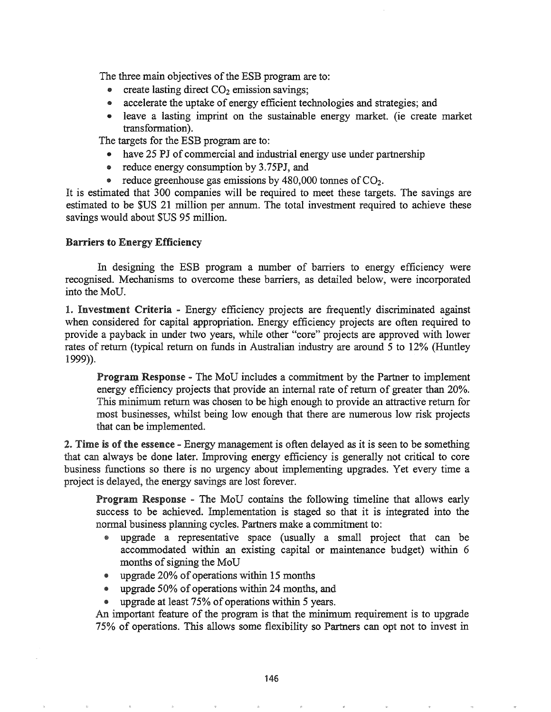The three main objectives of the ESB program are to:

- create lasting direct  $CO<sub>2</sub>$  emission savings;
- accelerate the uptake of energy efficient technologies and strategies; and
- leave a lasting imprint on the sustainable energy market. (ie create market transformation).

The targets for the ESB program are to:

- have 25 *PJ* of commercial and industrial energy use under partnership
- reduce energy consumption by 3.75PJ, and
- reduce greenhouse gas emissions by 480,000 tonnes of  $CO<sub>2</sub>$ .

It is estimated that 300 companies will be required to meet these targets. The savings are estimated to be \$US 21 million per annum. The total investment required to achieve these savings would about \$US 95 million.

#### Barriers to Energy Efficiency

In designing the ESB program a number of barriers to energy efficiency were recognised. Mechanisms to overcome these barriers, as detailed below, were incorporated into the MoV.

1. Investment Criteria - Energy efficiency projects are frequently discriminated against when considered for capital appropriation. Energy efficiency projects are often required to provide a payback in under two years, while other "core" projects are approved with lower rates of return (typical return on funds in Australian industry are around 5 to 12% (Huntley 1999)).

Program Response - The MoD includes a commitment by the Partner to implement energy efficiency projects that provide an internal rate of return of greater than 20%. This minimum return was chosen to be high enough to provide an attractive return for most businesses, whilst being low enough that there are numerous low risk projects that can be implemented.

2. Time is of the essence - Energy management is often delayed as it is seen to be something that can always be done later. Improving energy efficiency is generally not critical to core business functions so there is no urgency about implementing upgrades. Yet every time a project is delayed, the energy savings are lost forever.

**Program Response -** The MoU contains the following timeline that allows early success to be achieved. Implementation is staged so that it is integrated into the normal business planning cycles. Partners make a commitment to:

- e upgrade a representative space (usually a small project that can be accommodated within an existing capital or maintenance budget) within 6 months of signing the MoU
- e upgrade 20% of operations within 15 months
- upgrade 50% of operations within 24 months, and
- upgrade at least  $75\%$  of operations within 5 years.

An important feature of the program is that the minimum requirement is to upgrade 75% of operations. This allows some flexibility so Partners can opt not to invest in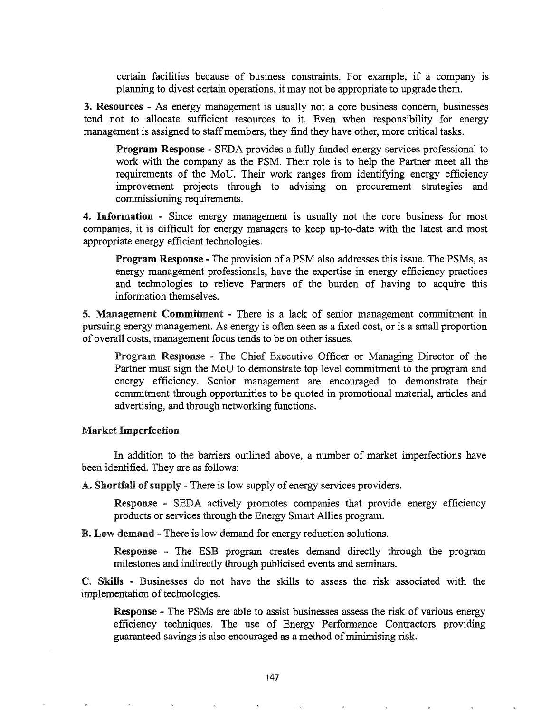certain facilities because of business constraints. For example, if a company is planning to divest certain operations, it may not be appropriate to upgrade them.

3. Resources - As energy management is usually not a core business concern, businesses tend not to allocate sufficient resources to it. Even when responsibility for energy management is assigned to staff members, they find they have other, more critical tasks.

Program Response - SEDA provides a fully funded energy services professional to work with the company as the PSM. Their role is to help the Partner meet all the requirements of the MoU. Their work ranges from identifying energy efficiency improvement projects through to advising on procurement strategies and commissioning requirements.

4. Information - Since energy management is usually not the core business for most companies, it is difficult for energy managers to keep up-to-date with the latest and most appropriate energy efficient technologies.

**Program Response -** The provision of a PSM also addresses this issue. The PSMs, as energy management professionals, have the expertise in energy efficiency practices and technologies to relieve Partners of the burden of having to acquire this information themselves.

5. Management Commitment - There is a lack of senior management commitment in pursuing energy management. As energy is often seen as a fixed cost, or is a small proportion of overall costs, management focus tends to be on other issues.

Program Response - The Chief Executive Officer or Managing Director of the Partner must sign the MoV to demonstrate top level commitment to the program and energy efficiency. Senior management are encouraged to demonstrate their commitment through opportunities to be quoted in promotional material, articles and advertising, and through networking functions.

#### Market Imperfection

In addition to the barriers outlined above, a number of market imperfections have been identified. They are as follows:

A. Shortfall of supply - There is low supply of energy services providers.

Response - SEDA actively promotes companies that provide energy efficiency products or services through the Energy Smart Allies program.

B. Low demand - There is low demand for energy reduction solutions.

Response - The ESB program creates demand directly through the program milestones and indirectly through publicised events and seminars.

Skills - Businesses do not have the skills to assess the risk associated with the implementation of technologies.

Response - The PSMs are able to assist businesses assess the risk of various energy efficiency techniques. The use of Energy Performance Contractors providing guaranteed savings is also encouraged as a method of minimising risk.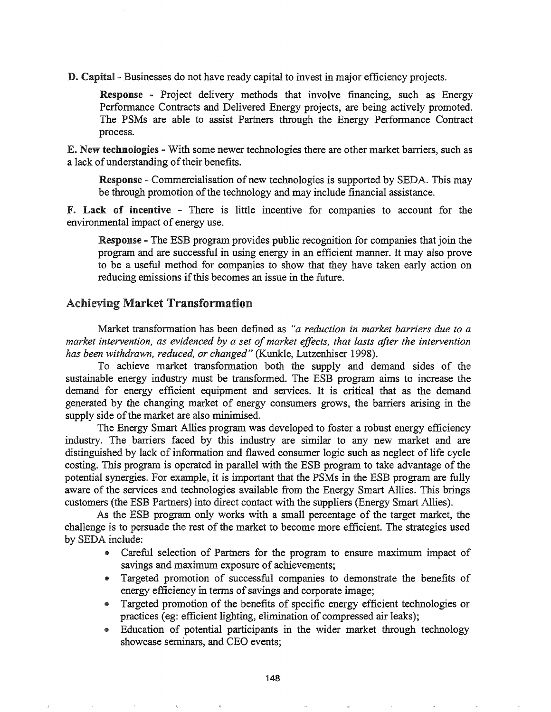D. Capital - Businesses do not have ready capital to invest in major efficiency projects.

Response - Project delivery methods that involve financing, such as Energy Performance Contracts and Delivered Energy projects, are being actively promoted. The PSMs are able to assist Partners through the Energy Performance Contract process.

E. New technologies - With some newer technologies there are other market barriers, such as a lack of understanding of their benefits.

Response - Commercialisation of new technologies is supported by SEDA. This may be through promotion of the technology and may include financial assistance.

F. Lack of incentive - There is little incentive for companies to account for the environmental impact of energy use.

**Response** - The ESB program provides public recognition for companies that join the program and are successful in using energy in an efficient manner. It may also prove to be a useful method for companies to show that they have taken early action on reducing emissions if this becomes an issue in the future.

### Achieving Market Transformation

Market transformation has been defined as "*a reduction in market barriers due to a market intervention, as evidenced by a set ofmarket effects, that lasts after the intervention has been withdrawn, reduced, or changed"* (Kunkle, Lutzenhiser 1998).

To achieve market transformation both the supply and demand sides of the sustainable energy industry must be transformed. The ESB program aims to increase the demand for energy efficient equipment and services. It is critical that as the demand generated by the changing market of energy consumers grows, the barriers arising in the supply side of the market are also minimised.

The Energy Smart Allies program was developed to foster a robust energy efficiency industry. The barriers faced by this industry are similar to any new market and are distinguished by lack of information and flawed consumer logic such as neglect of life cycle costing. This program is operated in parallel with the ESB program to take advantage of the potential synergies. For example, it is important that the PSMs in the ESB program are fully aware of the services and technologies available from the Energy Smart Allies. This brings customers (the ESB Partners) into direct contact with the suppliers (Energy Smart Allies).

As the ESB program only works with a small percentage of the target market, the challenge is to persuade the rest of the market to become more efficient. The strategies used by SEDA include:

- Careful selection of Partners for the program to ensure maximum impact of savings and maximum exposure of achievements;
- Targeted promotion of successful companies to demonstrate the benefits of energy efficiency in terms of savings and corporate image;
- Targeted promotion of the benefits of specific energy efficient technologies or practices (eg: efficient lighting, elimination of compressed air leaks);
- @ Education of potential participants in the wider market through technology showcase seminars, and CEO events;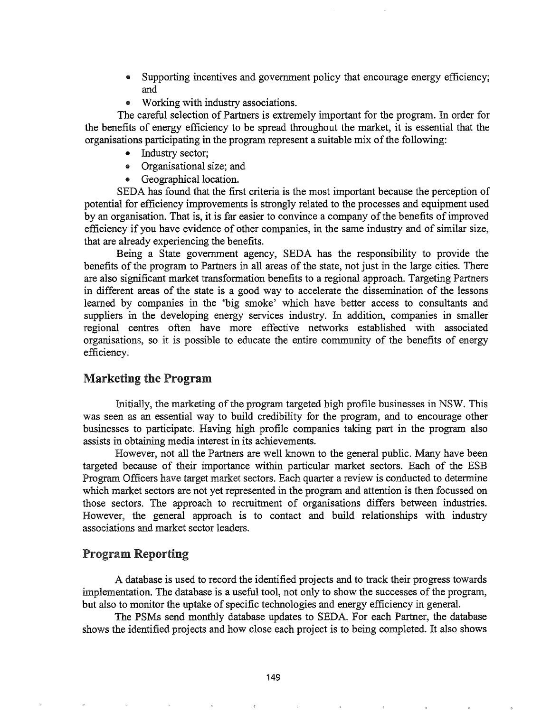- .. Supporting incentives and government policy that encourage energy efficiency; and
- Working with industry associations.

The careful selection of Partners is extremely important for the program. In order for the benefits of energy efficiency to be spread throughout the market, it is essential that the organisations participating in the program represent a suitable mix of the following:

- Industry sector;
- Organisational size; and
- Geographical location.

SEDA has found that the first criteria is the most important because the perception of potential for efficiency improvements is strongly related to the processes and equipment used by an organisation. That is, it is far easier to convince a company of the benefits of improved efficiency if you have evidence of other companies, in the same industry and of similar size, that are already experiencing the benefits.

Being a State government agency, SEDA has the responsibility to provide the benefits of the program to Partners in all areas of the state, not just in the large cities. There are also significant market transformation benefits to a regional approach. Targeting Partners in different areas of the state is a good way to accelerate the dissemination of the lessons learned by companies in the 'big smoke' which have better access to consultants and suppliers in the developing energy services industry. In addition, companies in smaller regional centres often have more effective networks established with associated organisations, so it is possible to educate the entire community of the benefits of energy efficiency.

# Marketing the Program

Initially, the marketing of the program targeted high profile businesses in NSW. This was seen as an essential way to build credibility for the program, and to encourage other businesses to participate. Having high profile companies taking part in the program also assists in obtaining media interest in its achievements.

However, not all the Partners are well known to the general public. Many have been targeted because of their importance within particular market sectors. Each of the ESB Program Officers have target market sectors. Each quarter a review is conducted to determine which market sectors are not yet represented in the program and attention is then focussed on those sectors.. The approach to recruitment of organisations differs between industries. However, the general approach is to contact and build relationships with industry associations and market sector leaders.

### Program Reporting

A database is used to record the identified projects and to track their progress towards implementation. The database is a useful tool, not only to show the successes of the program, but also to monitor the uptake of specific technologies and energy efficiency in general.

The PSMs send monthly database updates to SEDA. For each Partner, the database shows the identified projects and how close each project is to being completed.. It also shows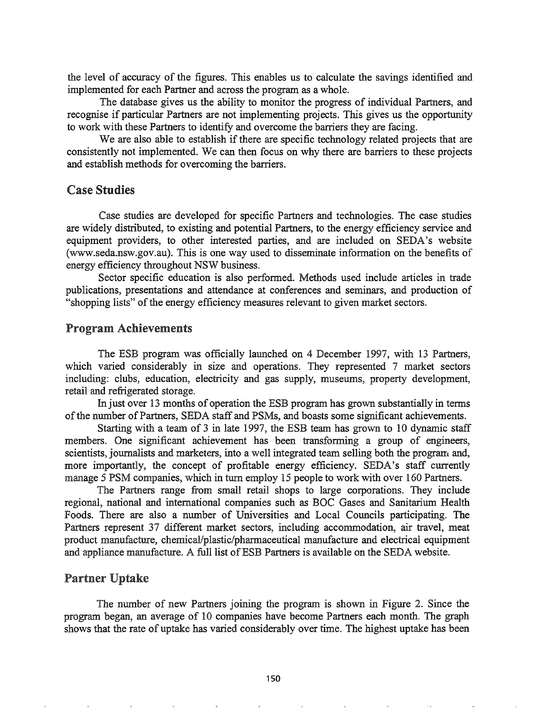the level of accuracy of the figures. This enables us to calculate the savings identified and implemented for each Partner and across the program as a whole.

The database gives us the ability to monitor the progress of individual Partners, and recognise if particular Partners are not implementing projects. This gives us the opportunity to work with these Partners to identify and overcome the barriers they are facing.

We are also able to establish if there are specific technology related projects that are consistently not implemented. We can then focus on why there are barriers to these projects and establish methods for overcoming the barriers.

#### Case Studies

Case studies are developed for specific Partners and technologies. The case studies are widely distributed, to existing and potential Partners, to the energy efficiency service and equipment providers, to other interested parties, and are included on SEDA's website (www.seda.nsw.gov.au).This is one way used to disseminate information on the benefits of energy efficiency throughout NSW business.

Sector specific education is also performed. Methods used include articles in trade publications, presentations and attendance at conferences and seminars, and production of "shopping lists" of the energy efficiency measures relevant to given market sectors.

#### Program Achievements

The ESB program was officially launched on 4 December 1997, with 13 Partners, which varied considerably in size and operations. They represented 7 market sectors including: clubs, education, electricity and gas supply, museums, property development, retail and refrigerated storage.

In just over 13 months of operation the ESB program has grown substantially in terms of the number of Partners, SEDA staff and PSMs, and boasts some significant achievements.

Starting with a team of 3 in late 1997, the ESB team has grown to 10 dynamic staff members. One significant achievement has been transforming a group of engineers, scientists, journalists and marketers, into a well integrated team selling both the program and, more importantly, the concept of profitable energy efficiency. SEDA's staff currently manage 5 PSM companies, which in turn employ 15 people to work with over 160 Partners.

The Partners range from small retail shops to large corporations. They include regional, national and international companies such as BOC Gases and Sanitarium Health Foods. There are also a number of Universities and Local Councils participating. The Partners represent 37 different market sectors, including accommodation, air travel, meat product manufacture, chemical/plastic/pharmaceutical manufacture and electrical equipment and appliance manufacture. A full list of ESB Partners is available on the SEDA website.

### Partner Uptake

The number of new Partners joining the program is shown in Figure 2. Since the program began, an average of 10 companies have become Partners each month. The graph shows that the rate of uptake has varied considerably over time. The highest uptake has been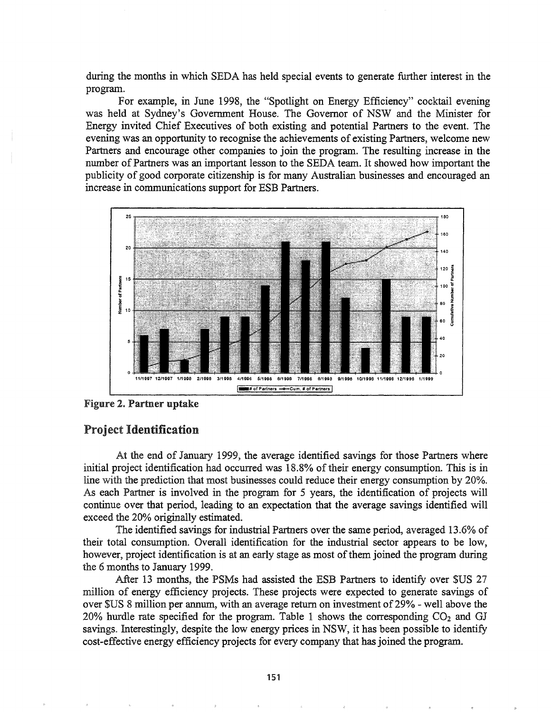during the months in which SEDA has held special events to generate further interest in the program.

For example, in June 1998, the "Spotlight on Energy Efficiency" cocktail evening was held at Sydney's Government House. The Governor of NSW and the Minister for Energy invited Chief Executives of both existing and potential Partners to the event. The evening was an opportunity to recognise the achievements of existing Partners, welcome new Partners and encourage other companies to join the program. The resulting increase in the number of Partners was an important lesson to the SEDA team. It showed how important the publicity of good corporate citizenship is for many Australian businesses and encouraged an increase in communications support for ESB Partners.



Figure 2. Partner uptake

# roject Identification

At the end of January 1999, the average identified savings for those Partners where initial project identification had occurred was 18.8% of their energy consumption. This is in line with the prediction that most businesses could reduce their energy consumption by 20%. As each Partner is involved in the program for 5 years, the identification of projects will continue over that period, leading to an expectation that the average savings identified will exceed the 20% originally estimated.

The identified savings for industrial Partners over the same period, averaged 13.6% of their total consumption.. Overall identification for the industrial sector appears to be low, however, project identification is at an early stage as most of them joined the program during the 6 months to January 1999.

After 13 months, the PSMs had assisted the ESB Partners to identify over \$US 27 million of energy efficiency projects. These projects were expected to generate savings of over \$US 8 million per annum, with an average return on investment of29% - well above the 20% hurdle rate specified for the program. Table 1 shows the corresponding  $CO<sub>2</sub>$  and GJ savings. Interestingly, despite the low energy prices in NSW, it has been possible to identify cost-effective energy efficiency projects for every company that has joined the program.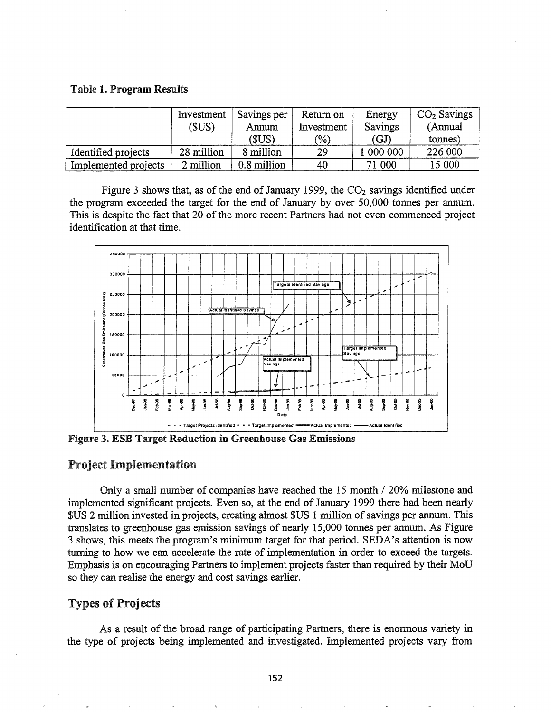#### Table 1. Program Results

|                      | Investment<br>(\$US) | Savings per<br>Annum | Return on<br>Investment | Energy<br>Savings | $CO2$ Savings<br>(Annual |
|----------------------|----------------------|----------------------|-------------------------|-------------------|--------------------------|
|                      |                      | (SUS)                | (%)                     | (GJ)              | tonnes)                  |
| Identified projects  | 28 million           | 8 million            | 29                      | 1 000 000         | 226 000                  |
| Implemented projects | 2 million            | 0.8 million          | 40                      | 71 000            | 15 000                   |

Figure 3 shows that, as of the end of January 1999, the  $CO<sub>2</sub>$  savings identified under the program exceeded the target for the end of January by over 50,000 tonnes per annum. This is despite the fact that 20 of the more recent Partners had not even commenced project identification at that time.



Figure 3. ESB Target Reduction in Greenhouse Gas Emissions

#### Project Implementation

Only a small number of companies have reached the 15 month / 20% milestone and implemented significant projects. Even so, at the end of January 1999 there had been nearly \$US 2 million invested in projects, creating almost \$US 1 million of savings per annum. This translates to greenhouse gas emission savings of nearly 15,000 tonnes per annum. As Figure 3 shows, this meets the program's minimum target for that period. SEDA's attention is now turning to how we can accelerate the rate of implementation in order to exceed the targets. Emphasis is on encouraging Partners to implement projects faster than required by their MoD so they can realise the energy and cost savings earlier.

## **Types of Projects**

As a result of the broad range of participating Partners, there is enormous variety in . the type of projects being implemented and investigated. Implemented projects vary from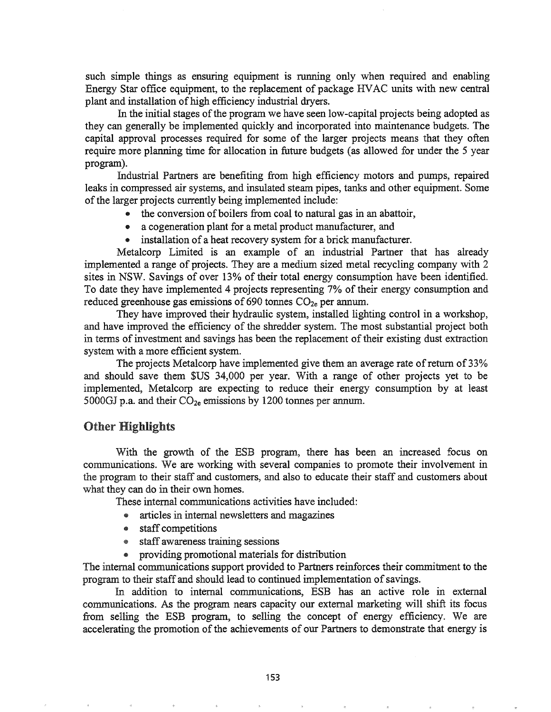such simple things as ensuring equipment is running only when required and enabling Energy Star office equipment, to the replacement of package HVAC units with new central plant and installation of high efficiency industrial dryers.

In the initial stages of the program we have seen low-capital projects being adopted as they can generally be implemented quickly and incorporated into maintenance budgets. The capital approval processes required for some of the larger projects means that they often require more planning time for allocation in future budgets (as allowed for under the 5 year program).

Industrial Partners are benefiting from high efficiency motors and pumps, repaired leaks in compressed air systems, and insulated steam pipes, tanks and other equipment. Some of the larger projects currently being implemented include:

- the conversion of boilers from coal to natural gas in an abattoir,
- a cogeneration plant for a metal product manufacturer, and
- installation of a heat recovery system for a brick manufacturer.

Metalcorp Limited is an example of an industrial Partner that has already implemented a range of projects. They are a medium sized metal recycling company with 2 sites in NSW. Savings of over 13% of their total energy consumption have been identified. To date they have implemented 4 projects representing 7% of their energy consumption and reduced greenhouse gas emissions of 690 tonnes  $CO<sub>2e</sub>$  per annum.

They have improved their hydraulic system, installed lighting control in a workshop, and have improved the efficiency of the shredder system. The most substantial project both in terms of investment and savings has been the replacement of their existing dust extraction system with a more efficient system.

The projects Metalcorp have implemented give them an average rate of return of 33% and should save them \$US 34,000 per year. With a range of other projects yet to be implemented, Metalcorp are expecting to reduce their energy consumption by at least 5000GJ p.a. and their  $CO_{2e}$  emissions by 1200 tonnes per annum.

### Other Highlights

With the growth of the ESB program, there has been an increased focus on communications. We are working with several companies to promote their involvement in the program to their staff and customers, and also to educate their staff and customers about what they can do in their own homes.

These internal communications activities have included:

- articles in internal newsletters and magazines
- staff competitions
- staff awareness training sessions
- providing promotional materials for distribution

The internal communications support provided to Partners reinforces their commitment to the program to their staff and should lead to continued implementation of savings.

In addition to internal communications, ESB has an active role in external communications. As the program nears capacity our external marketing will shift its focus from selling the ESB program, to selling the concept of energy efficiency. We are accelerating the promotion of the achievements of our Partners to demonstrate that energy is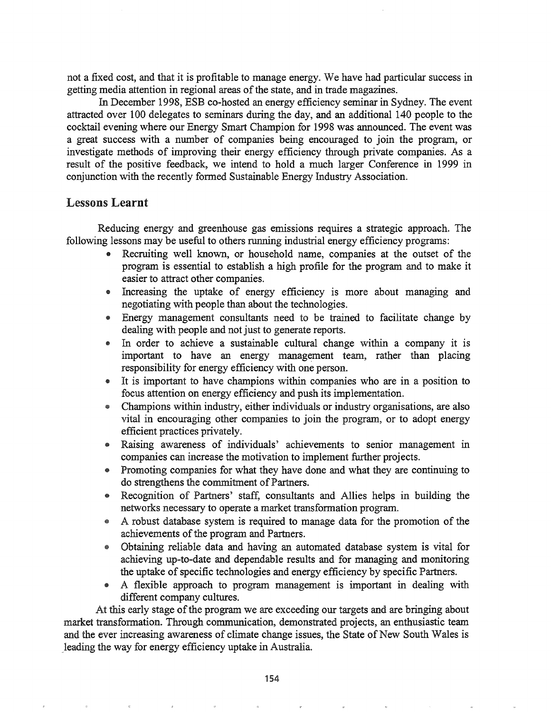not a fixed cost, and that it is profitable to manage energy. We have had particular success in getting media attention in regional areas of the state, and in trade magazines.

In December 1998, ESB co-hosted an energy efficiency seminar in Sydney. The event attracted over 100 delegates to seminars during the day, and an additional 140 people to the cocktail evening where our Energy Smart Champion for 1998 was announced. The event was a great success with a number of companies being encouraged to join the program, or investigate methods of improving their energy efficiency through private companies. As a result of the positive feedback, we intend to hold a much larger Conference in 1999 in conjunction with the recently fonned Sustainable Energy Industry Association.

### Lessons Learnt

Reducing energy and greenhouse gas emissions requires a strategic approach. The following lessons may be useful to others running industrial energy efficiency programs:

- Recruiting well known, or household name, companies at the outset of the program is essential to establish a high profile for the program and to make it easier to attract other companies.
- Increasing the uptake of energy efficiency is more about managing and negotiating with people than about the technologies.
- Energy management consultants need to be trained to facilitate change by dealing with people and not just to generate reports.
- In order to achieve a sustainable cultural change within a company it is important to have an energy management team, rather than placing responsibility for energy efficiency with one person.
- It is important to have champions within companies who are in a position to focus attention on energy efficiency and push its implementation.
- @ Champions within industry, either individuals or industry organisations, are also vital in encouraging other companies to join the program, or to adopt energy efficient practices privately.
- @ Raising awareness of individuals' achievements to senior management in companies can increase the motivation to implement further projects.
- Promoting companies for what they have done and what they are continuing to do strengthens the commitment of Partners.
- @ Recognition of Partners' staft: consultants and Allies helps in building the networks necessary to operate a market transformation program.
- \* A robust database system is required to manage data for the promotion of the achievements of the program and Partners.
- @ Obtaining reliable data and having an automated database system is vital for achieving up-to-date and dependable results and for managing and monitoring the uptake of specific technologies and energy efficiency by specific Partners.
- @ A flexible approach to program management is important in dealing with different company cultures.

At this early stage of the program we are exceeding our targets and are bringing about market transformation. Through communication, demonstrated projects, an enthusiastic team and the ever increasing awareness of climate change issues, the State of New South Wales is leading the way for energy efficiency uptake in Australia.